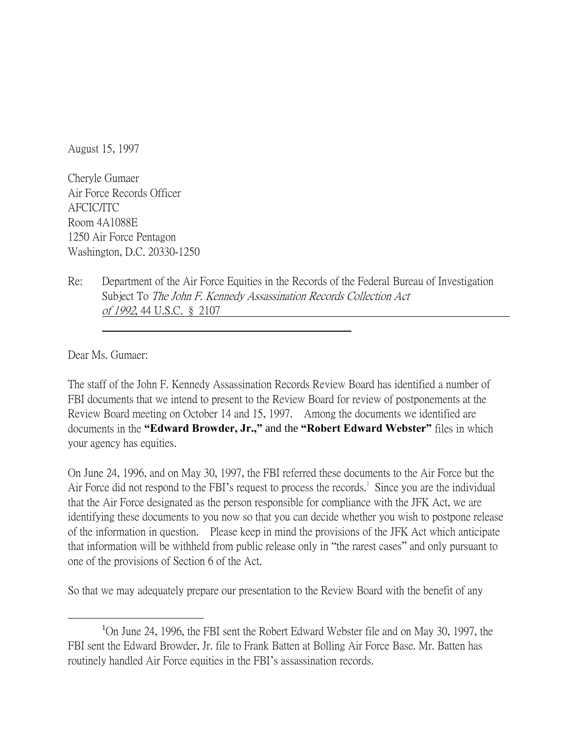August 15, 1997

Cheryle Gumaer Air Force Records Officer AFCIC/ITC Room 4A1088E 1250 Air Force Pentagon Washington, D.C. 20330-1250

Re: Department of the Air Force Equities in the Records of the Federal Bureau of Investigation Subject To The John F. Kennedy Assassination Records Collection Act of 1992, 44 U.S.C. § 2107

Dear Ms. Gumaer:

 $\overline{a}$ 

The staff of the John F. Kennedy Assassination Records Review Board has identified a number of FBI documents that we intend to present to the Review Board for review of postponements at the Review Board meeting on October 14 and 15, 1997. Among the documents we identified are documents in the **"Edward Browder, Jr.,"** and the **"Robert Edward Webster"** files in which your agency has equities.

On June 24, 1996, and on May 30, 1997, the FBI referred these documents to the Air Force but the Air Force did not respond to the FBI's request to process the records.<sup>1</sup> Since you are the individual that the Air Force designated as the person responsible for compliance with the JFK Act, we are identifying these documents to you now so that you can decide whether you wish to postpone release of the information in question. Please keep in mind the provisions of the JFK Act which anticipate that information will be withheld from public release only in "the rarest cases" and only pursuant to one of the provisions of Section 6 of the Act.

So that we may adequately prepare our presentation to the Review Board with the benefit of any

<sup>&</sup>lt;sup>1</sup>On June 24, 1996, the FBI sent the Robert Edward Webster file and on May 30, 1997, the FBI sent the Edward Browder, Jr. file to Frank Batten at Bolling Air Force Base. Mr. Batten has routinely handled Air Force equities in the FBI's assassination records.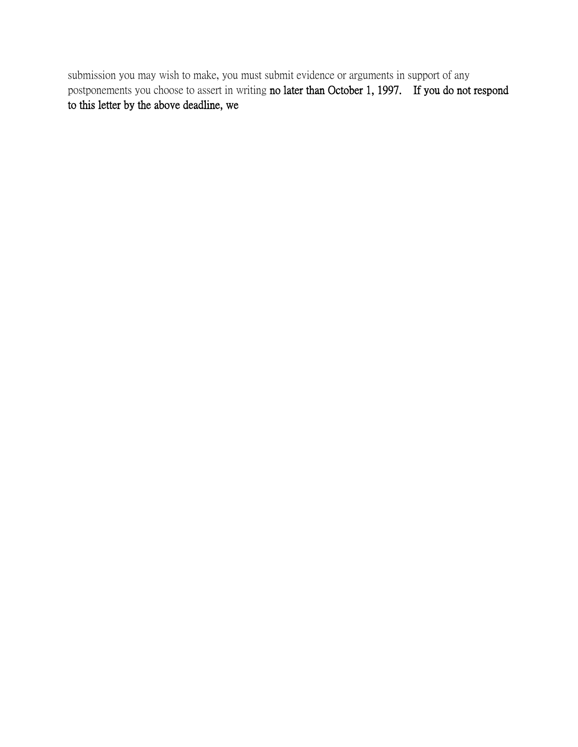submission you may wish to make, you must submit evidence or arguments in support of any postponements you choose to assert in writing no later than October 1, 1997. If you do not respond to this letter by the above deadline, we